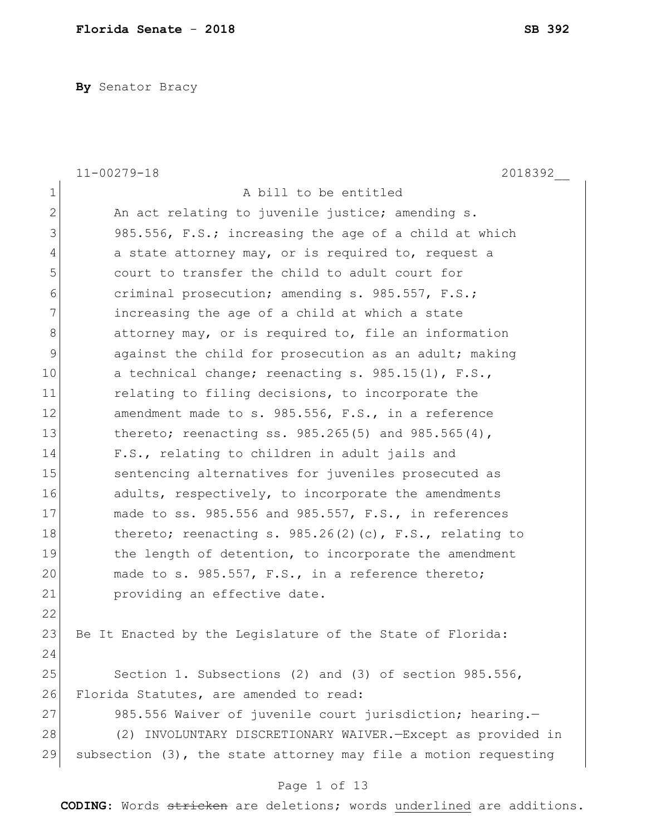**By** Senator Bracy

|               | $11 - 00279 - 18$<br>2018392                                       |
|---------------|--------------------------------------------------------------------|
| $\mathbf 1$   | A bill to be entitled                                              |
| $\mathbf{2}$  | An act relating to juvenile justice; amending s.                   |
| 3             | 985.556, F.S.; increasing the age of a child at which              |
| 4             | a state attorney may, or is required to, request a                 |
| 5             | court to transfer the child to adult court for                     |
| 6             | criminal prosecution; amending s. 985.557, F.S.;                   |
| 7             | increasing the age of a child at which a state                     |
| $\,8\,$       | attorney may, or is required to, file an information               |
| $\mathcal{G}$ | against the child for prosecution as an adult; making              |
| 10            | a technical change; reenacting s. 985.15(1), F.S.,                 |
| 11            | relating to filing decisions, to incorporate the                   |
| 12            | amendment made to s. 985.556, F.S., in a reference                 |
| 13            | thereto; reenacting ss. $985.265(5)$ and $985.565(4)$ ,            |
| 14            | F.S., relating to children in adult jails and                      |
| 15            | sentencing alternatives for juveniles prosecuted as                |
| 16            | adults, respectively, to incorporate the amendments                |
| 17            | made to ss. 985.556 and 985.557, F.S., in references               |
| 18            | thereto; reenacting s. $985.26(2)(c)$ , F.S., relating to          |
| 19            | the length of detention, to incorporate the amendment              |
| 20            | made to s. 985.557, F.S., in a reference thereto;                  |
| 21            | providing an effective date.                                       |
| 22            |                                                                    |
| 23            | Be It Enacted by the Legislature of the State of Florida:          |
| 24            |                                                                    |
| 25            | Section 1. Subsections (2) and (3) of section 985.556,             |
| 26            | Florida Statutes, are amended to read:                             |
| 27            | 985.556 Waiver of juvenile court jurisdiction; hearing.-           |
| 28            | (2) INVOLUNTARY DISCRETIONARY WAIVER. - Except as provided in      |
| 29            | subsection $(3)$ , the state attorney may file a motion requesting |
|               | Page 1 of 13                                                       |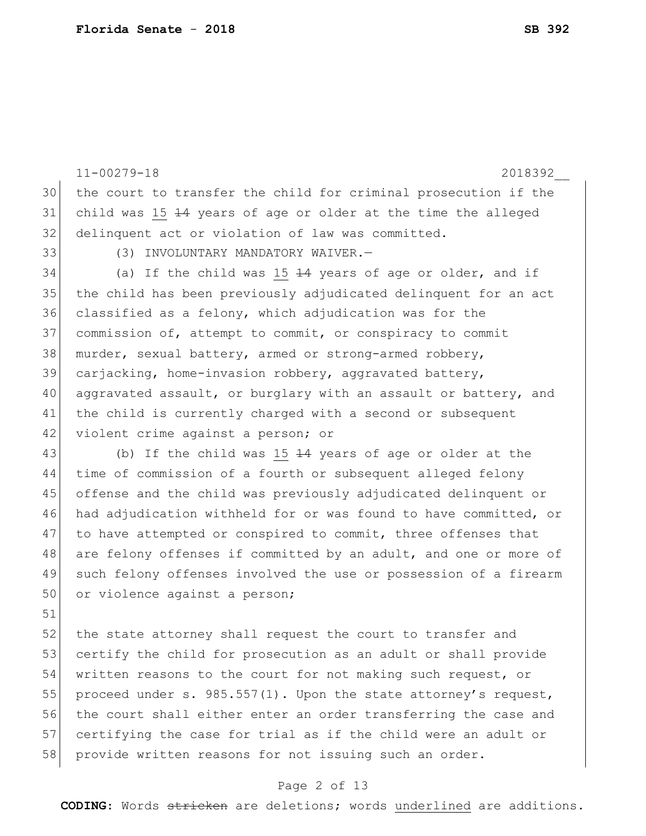11-00279-18 2018392\_\_ 30 the court to transfer the child for criminal prosecution if the 31 child was 15  $\pm 4$  years of age or older at the time the alleged 32 delinquent act or violation of law was committed. 33 (3) INVOLUNTARY MANDATORY WAIVER. 34 (a) If the child was 15  $\pm 4$  years of age or older, and if 35 the child has been previously adjudicated delinquent for an act 36 classified as a felony, which adjudication was for the 37 commission of, attempt to commit, or conspiracy to commit 38 murder, sexual battery, armed or strong-armed robbery, 39 carjacking, home-invasion robbery, aggravated battery, 40 aggravated assault, or burglary with an assault or battery, and 41 the child is currently charged with a second or subsequent 42 violent crime against a person; or 43 (b) If the child was 15  $\pm 4$  years of age or older at the 44 time of commission of a fourth or subsequent alleged felony 45 offense and the child was previously adjudicated delinquent or 46 had adjudication withheld for or was found to have committed, or 47 to have attempted or conspired to commit, three offenses that 48 are felony offenses if committed by an adult, and one or more of 49 such felony offenses involved the use or possession of a firearm 50 or violence against a person; 51 52 the state attorney shall request the court to transfer and 53 certify the child for prosecution as an adult or shall provide 54 written reasons to the court for not making such request, or 55 proceed under s. 985.557(1). Upon the state attorney's request, 56 the court shall either enter an order transferring the case and

57 certifying the case for trial as if the child were an adult or 58 provide written reasons for not issuing such an order.

#### Page 2 of 13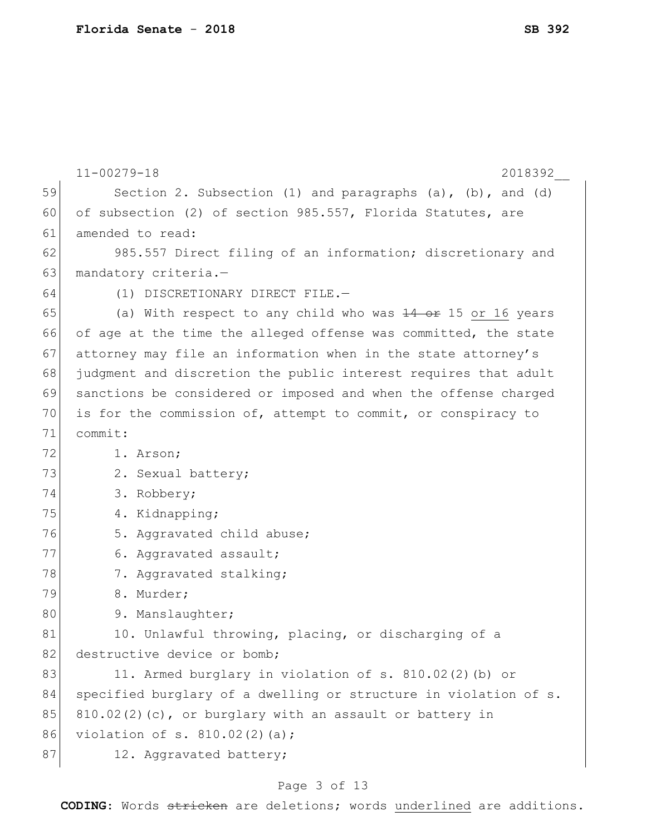|    | $11 - 00279 - 18$<br>2018392                                         |
|----|----------------------------------------------------------------------|
| 59 | Section 2. Subsection $(1)$ and paragraphs $(a)$ , $(b)$ , and $(d)$ |
| 60 | of subsection (2) of section 985.557, Florida Statutes, are          |
| 61 | amended to read:                                                     |
| 62 | 985.557 Direct filing of an information; discretionary and           |
| 63 | mandatory criteria.-                                                 |
| 64 | (1) DISCRETIONARY DIRECT FILE.-                                      |
| 65 | (a) With respect to any child who was 14 or 15 or 16 years           |
| 66 | of age at the time the alleged offense was committed, the state      |
| 67 | attorney may file an information when in the state attorney's        |
| 68 | judgment and discretion the public interest requires that adult      |
| 69 | sanctions be considered or imposed and when the offense charged      |
| 70 | is for the commission of, attempt to commit, or conspiracy to        |
| 71 | commit:                                                              |
| 72 | 1. Arson;                                                            |
| 73 | 2. Sexual battery;                                                   |
| 74 | 3. Robbery;                                                          |
| 75 | 4. Kidnapping;                                                       |
| 76 | 5. Aggravated child abuse;                                           |
| 77 | 6. Aggravated assault;                                               |
| 78 | 7. Aggravated stalking;                                              |
| 79 | 8. Murder;                                                           |
| 80 | 9. Manslaughter;                                                     |
| 81 | 10. Unlawful throwing, placing, or discharging of a                  |
| 82 | destructive device or bomb;                                          |
| 83 | 11. Armed burglary in violation of s. 810.02(2) (b) or               |
| 84 | specified burglary of a dwelling or structure in violation of s.     |
| 85 | $810.02(2)$ (c), or burglary with an assault or battery in           |
| 86 | violation of s. $810.02(2)(a)$ ;                                     |
| 87 | 12. Aggravated battery;                                              |

# Page 3 of 13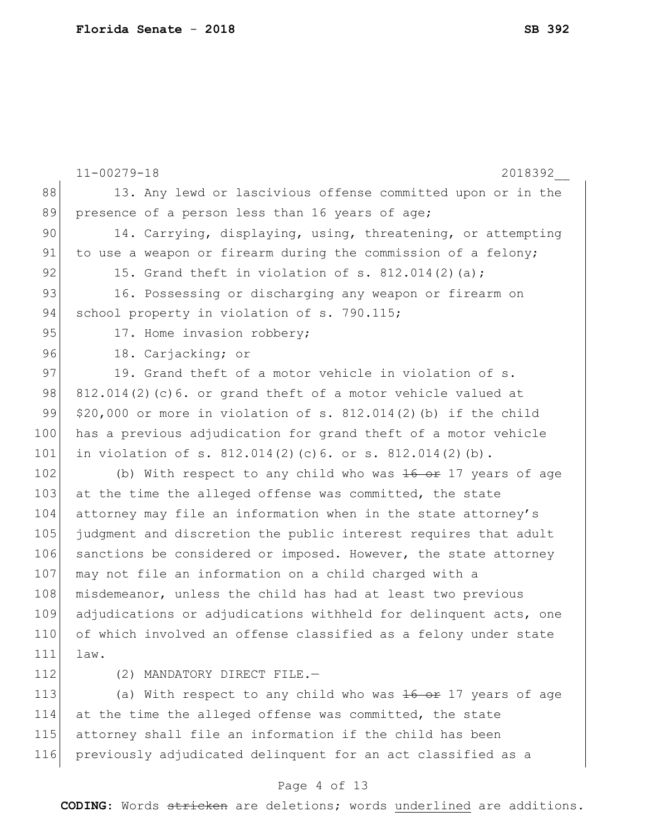|     | $11 - 00279 - 18$<br>2018392                                           |
|-----|------------------------------------------------------------------------|
| 88  | 13. Any lewd or lascivious offense committed upon or in the            |
| 89  | presence of a person less than 16 years of age;                        |
| 90  | 14. Carrying, displaying, using, threatening, or attempting            |
| 91  | to use a weapon or firearm during the commission of a felony;          |
| 92  | 15. Grand theft in violation of s. 812.014(2)(a);                      |
| 93  | 16. Possessing or discharging any weapon or firearm on                 |
| 94  | school property in violation of s. 790.115;                            |
| 95  | 17. Home invasion robbery;                                             |
| 96  | 18. Carjacking; or                                                     |
| 97  | 19. Grand theft of a motor vehicle in violation of s.                  |
| 98  | $812.014(2)$ (c) 6. or grand theft of a motor vehicle valued at        |
| 99  | $$20,000$ or more in violation of s. 812.014(2)(b) if the child        |
| 100 | has a previous adjudication for grand theft of a motor vehicle         |
| 101 | in violation of s. $812.014(2)(c)6$ . or s. $812.014(2)(b)$ .          |
| 102 | (b) With respect to any child who was $16 \text{ or } 17$ years of age |
| 103 | at the time the alleged offense was committed, the state               |
| 104 | attorney may file an information when in the state attorney's          |
| 105 | judgment and discretion the public interest requires that adult        |
| 106 | sanctions be considered or imposed. However, the state attorney        |
| 107 | may not file an information on a child charged with a                  |
| 108 | misdemeanor, unless the child has had at least two previous            |
| 109 | adjudications or adjudications withheld for delinquent acts, one       |
| 110 | of which involved an offense classified as a felony under state        |
| 111 | law.                                                                   |
| 112 | (2) MANDATORY DIRECT FILE.-                                            |
| 113 | (a) With respect to any child who was $16 \text{ or } 17$ years of age |
| 114 | at the time the alleged offense was committed, the state               |
| 115 | attorney shall file an information if the child has been               |
| 116 | previously adjudicated delinquent for an act classified as a           |

# Page 4 of 13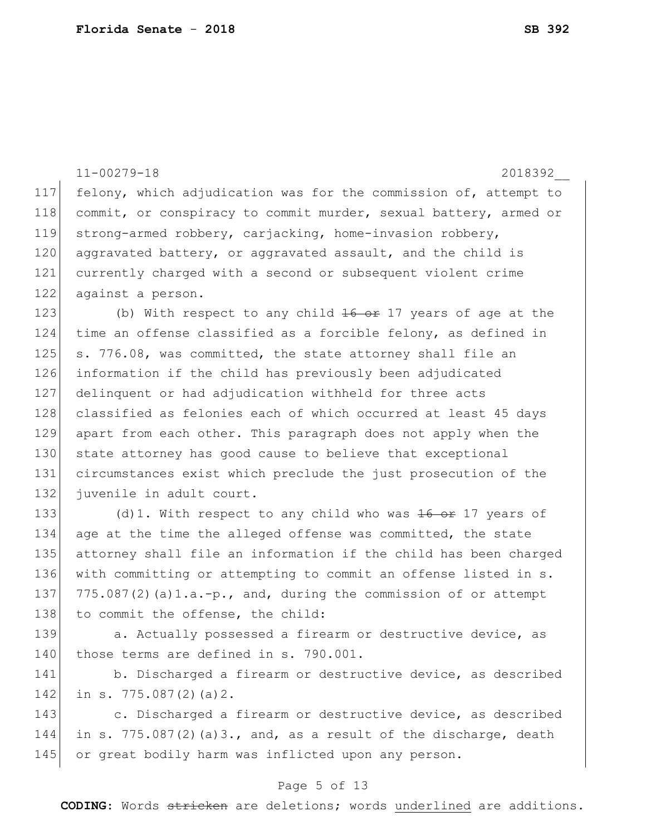|     | $11 - 00279 - 18$<br>2018392                                          |
|-----|-----------------------------------------------------------------------|
| 117 | felony, which adjudication was for the commission of, attempt to      |
| 118 | commit, or conspiracy to commit murder, sexual battery, armed or      |
| 119 | strong-armed robbery, carjacking, home-invasion robbery,              |
| 120 | aggravated battery, or aggravated assault, and the child is           |
| 121 | currently charged with a second or subsequent violent crime           |
| 122 | against a person.                                                     |
| 123 | (b) With respect to any child 16 or 17 years of age at the            |
| 124 | time an offense classified as a forcible felony, as defined in        |
| 125 | s. 776.08, was committed, the state attorney shall file an            |
| 126 | information if the child has previously been adjudicated              |
| 127 | delinquent or had adjudication withheld for three acts                |
| 128 | classified as felonies each of which occurred at least 45 days        |
| 129 | apart from each other. This paragraph does not apply when the         |
| 130 | state attorney has good cause to believe that exceptional             |
| 131 | circumstances exist which preclude the just prosecution of the        |
| 132 | juvenile in adult court.                                              |
| 133 | (d) 1. With respect to any child who was $16$ or 17 years of          |
| 134 | age at the time the alleged offense was committed, the state          |
| 135 | attorney shall file an information if the child has been charged      |
| 136 | with committing or attempting to commit an offense listed in s.       |
| 137 | $775.087(2)$ (a) $1.a.-p.$ , and, during the commission of or attempt |
| 138 | to commit the offense, the child:                                     |
| 139 | a. Actually possessed a firearm or destructive device, as             |
| 140 | those terms are defined in s. 790.001.                                |
| 141 | b. Discharged a firearm or destructive device, as described           |
| 142 | in s. $775.087(2)(a)2$ .                                              |
| 143 | c. Discharged a firearm or destructive device, as described           |

144 in s. 775.087(2)(a)3., and, as a result of the discharge, death 145 or great bodily harm was inflicted upon any person.

### Page 5 of 13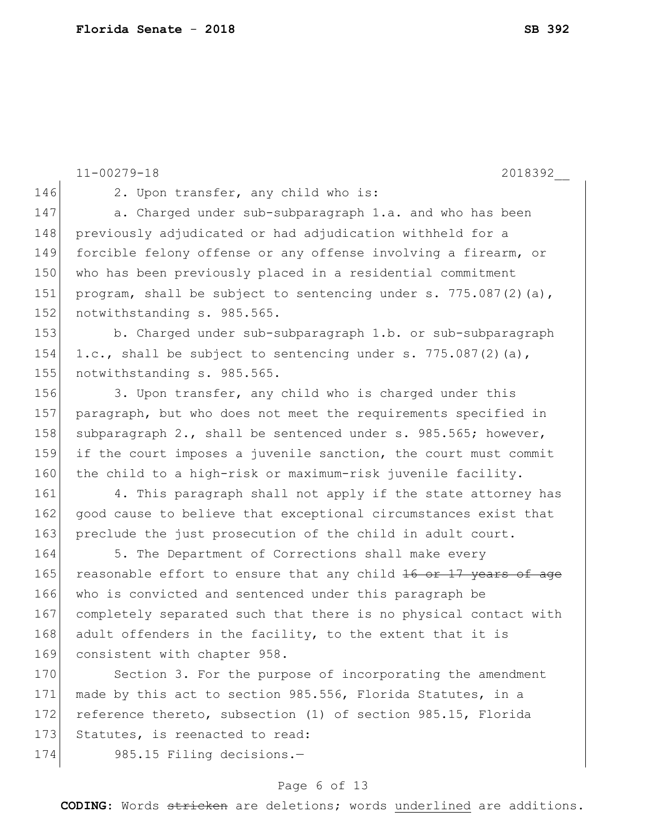11-00279-18 2018392\_\_ 146 2. Upon transfer, any child who is: 147 a. Charged under sub-subparagraph 1.a. and who has been 148 previously adjudicated or had adjudication withheld for a 149 forcible felony offense or any offense involving a firearm, or 150 who has been previously placed in a residential commitment 151 program, shall be subject to sentencing under s.  $775.087(2)(a)$ , 152 notwithstanding s. 985.565. 153 b. Charged under sub-subparagraph 1.b. or sub-subparagraph 154 1.c., shall be subject to sentencing under s. 775.087(2)(a), 155 notwithstanding s. 985.565. 156 3. Upon transfer, any child who is charged under this 157 paragraph, but who does not meet the requirements specified in 158 subparagraph 2., shall be sentenced under s. 985.565; however, 159 if the court imposes a juvenile sanction, the court must commit 160 the child to a high-risk or maximum-risk juvenile facility. 161 4. This paragraph shall not apply if the state attorney has 162 good cause to believe that exceptional circumstances exist that 163 preclude the just prosecution of the child in adult court. 164 5. The Department of Corrections shall make every 165 reasonable effort to ensure that any child 16 or 17 years of age 166 who is convicted and sentenced under this paragraph be 167 completely separated such that there is no physical contact with 168 adult offenders in the facility, to the extent that it is 169 consistent with chapter 958. 170 Section 3. For the purpose of incorporating the amendment 171 made by this act to section 985.556, Florida Statutes, in a 172 reference thereto, subsection (1) of section 985.15, Florida 173 Statutes, is reenacted to read: 174 985.15 Filing decisions.-

#### Page 6 of 13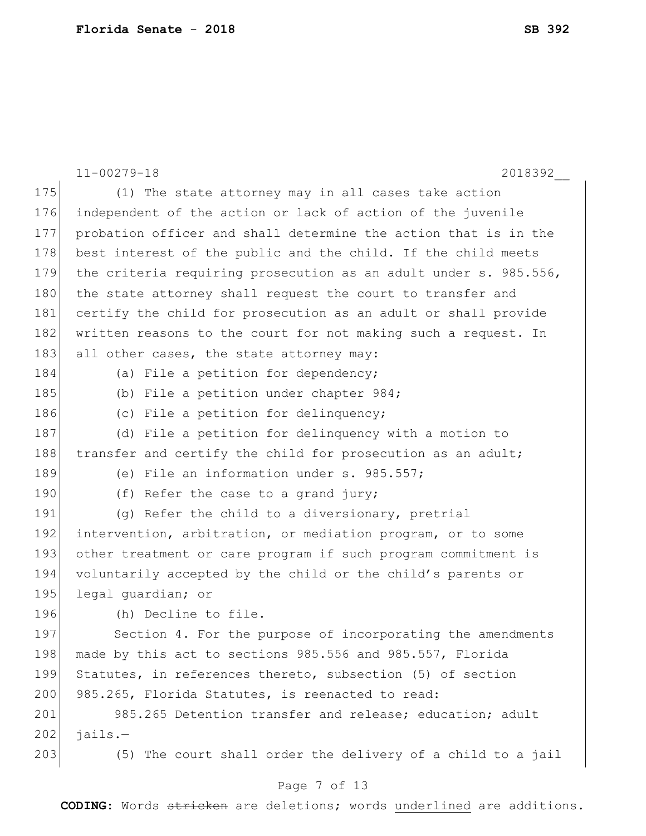|     | $11 - 00279 - 18$<br>2018392                                     |
|-----|------------------------------------------------------------------|
| 175 | (1) The state attorney may in all cases take action              |
| 176 | independent of the action or lack of action of the juvenile      |
| 177 | probation officer and shall determine the action that is in the  |
| 178 | best interest of the public and the child. If the child meets    |
| 179 | the criteria requiring prosecution as an adult under s. 985.556, |
| 180 | the state attorney shall request the court to transfer and       |
| 181 | certify the child for prosecution as an adult or shall provide   |
| 182 | written reasons to the court for not making such a request. In   |
| 183 | all other cases, the state attorney may:                         |
| 184 | (a) File a petition for dependency;                              |
| 185 | (b) File a petition under chapter 984;                           |
| 186 | (c) File a petition for delinquency;                             |
| 187 | (d) File a petition for delinquency with a motion to             |
| 188 | transfer and certify the child for prosecution as an adult;      |
| 189 | (e) File an information under s. 985.557;                        |
| 190 | (f) Refer the case to a grand jury;                              |
| 191 | (g) Refer the child to a diversionary, pretrial                  |
| 192 | intervention, arbitration, or mediation program, or to some      |
| 193 | other treatment or care program if such program commitment is    |
| 194 | voluntarily accepted by the child or the child's parents or      |
| 195 | legal quardian; or                                               |
| 196 | (h) Decline to file.                                             |
| 197 | Section 4. For the purpose of incorporating the amendments       |
| 198 | made by this act to sections 985.556 and 985.557, Florida        |
| 199 | Statutes, in references thereto, subsection (5) of section       |
| 200 | 985.265, Florida Statutes, is reenacted to read:                 |
| 201 | 985.265 Detention transfer and release; education; adult         |
| 202 | $jails. -$                                                       |
| 203 | (5) The court shall order the delivery of a child to a jail      |
|     | Page 7 of 13                                                     |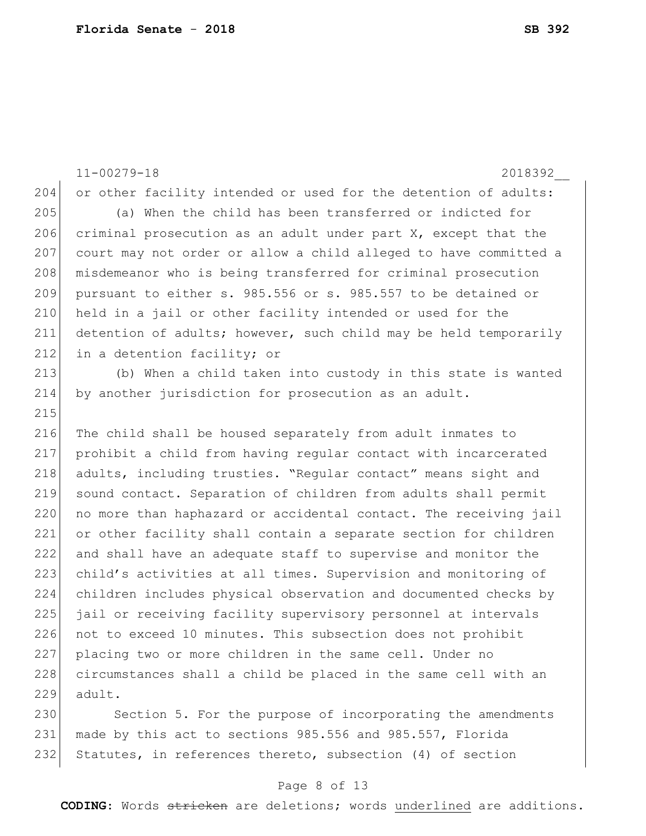11-00279-18 2018392\_\_ 204 or other facility intended or used for the detention of adults: 205 (a) When the child has been transferred or indicted for 206 criminal prosecution as an adult under part  $X_t$ , except that the 207 court may not order or allow a child alleged to have committed a 208 misdemeanor who is being transferred for criminal prosecution 209 pursuant to either s. 985.556 or s. 985.557 to be detained or 210 held in a jail or other facility intended or used for the 211 detention of adults; however, such child may be held temporarily 212 in a detention facility; or 213 (b) When a child taken into custody in this state is wanted 214 by another jurisdiction for prosecution as an adult. 215 216 The child shall be housed separately from adult inmates to 217 prohibit a child from having regular contact with incarcerated 218 adults, including trusties. "Regular contact" means sight and 219 sound contact. Separation of children from adults shall permit 220 no more than haphazard or accidental contact. The receiving jail 221 or other facility shall contain a separate section for children 222 and shall have an adequate staff to supervise and monitor the 223 child's activities at all times. Supervision and monitoring of 224 children includes physical observation and documented checks by 225 jail or receiving facility supervisory personnel at intervals 226 not to exceed 10 minutes. This subsection does not prohibit 227 placing two or more children in the same cell. Under no 228 circumstances shall a child be placed in the same cell with an  $229$  adult.

230 Section 5. For the purpose of incorporating the amendments 231 made by this act to sections 985.556 and 985.557, Florida 232 Statutes, in references thereto, subsection (4) of section

#### Page 8 of 13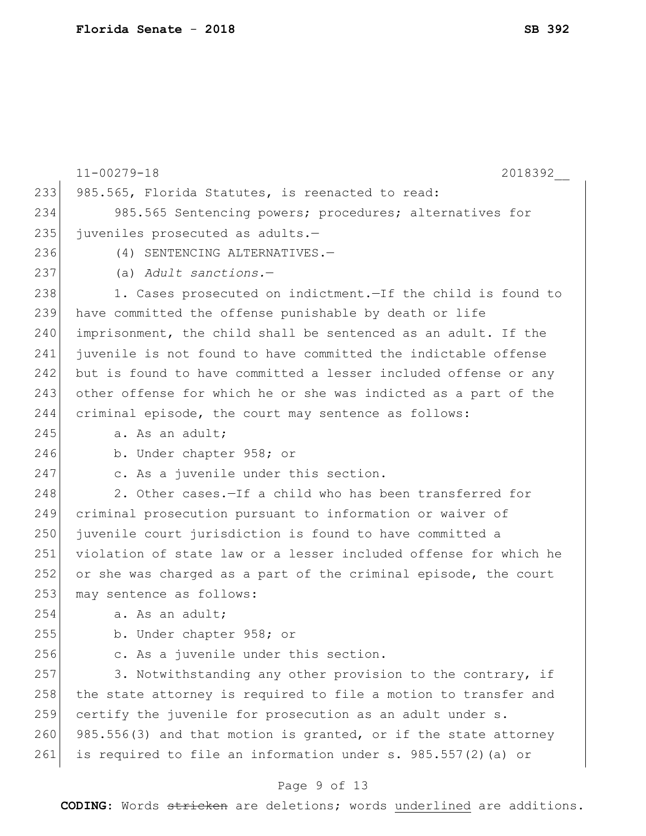|     | $11 - 00279 - 18$<br>2018392                                     |
|-----|------------------------------------------------------------------|
| 233 | 985.565, Florida Statutes, is reenacted to read:                 |
| 234 | 985.565 Sentencing powers; procedures; alternatives for          |
| 235 | juveniles prosecuted as adults.-                                 |
| 236 | (4) SENTENCING ALTERNATIVES.-                                    |
| 237 | (a) Adult sanctions.-                                            |
| 238 | 1. Cases prosecuted on indictment. - If the child is found to    |
| 239 | have committed the offense punishable by death or life           |
| 240 | imprisonment, the child shall be sentenced as an adult. If the   |
| 241 | juvenile is not found to have committed the indictable offense   |
| 242 | but is found to have committed a lesser included offense or any  |
| 243 | other offense for which he or she was indicted as a part of the  |
| 244 | criminal episode, the court may sentence as follows:             |
| 245 | a. As an adult;                                                  |
| 246 | b. Under chapter 958; or                                         |
| 247 | c. As a juvenile under this section.                             |
| 248 | 2. Other cases. - If a child who has been transferred for        |
| 249 | criminal prosecution pursuant to information or waiver of        |
| 250 | juvenile court jurisdiction is found to have committed a         |
| 251 | violation of state law or a lesser included offense for which he |
| 252 | or she was charged as a part of the criminal episode, the court  |
| 253 | may sentence as follows:                                         |
| 254 | a. As an adult;                                                  |
| 255 | b. Under chapter 958; or                                         |
| 256 | c. As a juvenile under this section.                             |
| 257 | 3. Notwithstanding any other provision to the contrary, if       |
| 258 | the state attorney is required to file a motion to transfer and  |
| 259 | certify the juvenile for prosecution as an adult under s.        |
| 260 | 985.556(3) and that motion is granted, or if the state attorney  |
| 261 | is required to file an information under s. 985.557(2) (a) or    |

# Page 9 of 13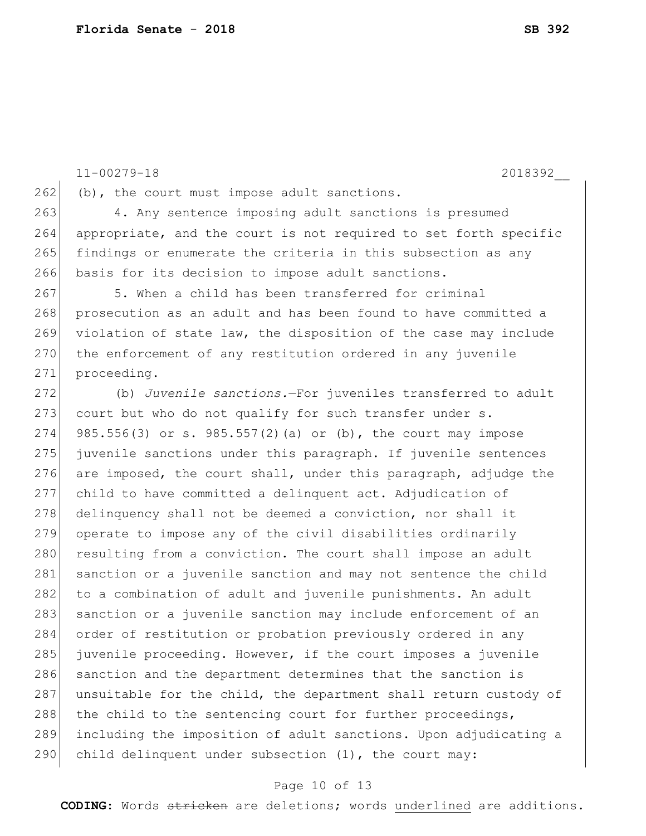11-00279-18 2018392\_\_

 $262$  (b), the court must impose adult sanctions.

 4. Any sentence imposing adult sanctions is presumed appropriate, and the court is not required to set forth specific 265 findings or enumerate the criteria in this subsection as any basis for its decision to impose adult sanctions.

267 5. When a child has been transferred for criminal 268 prosecution as an adult and has been found to have committed a 269 violation of state law, the disposition of the case may include 270 the enforcement of any restitution ordered in any juvenile 271 proceeding.

272 (b) *Juvenile sanctions.*—For juveniles transferred to adult  $273$  court but who do not qualify for such transfer under s. 274 985.556(3) or s. 985.557(2)(a) or (b), the court may impose 275 juvenile sanctions under this paragraph. If juvenile sentences 276 are imposed, the court shall, under this paragraph, adjudge the 277 child to have committed a delinquent act. Adjudication of 278 delinquency shall not be deemed a conviction, nor shall it 279 operate to impose any of the civil disabilities ordinarily 280 resulting from a conviction. The court shall impose an adult 281 sanction or a juvenile sanction and may not sentence the child 282 to a combination of adult and juvenile punishments. An adult 283 sanction or a juvenile sanction may include enforcement of an 284 order of restitution or probation previously ordered in any 285 juvenile proceeding. However, if the court imposes a juvenile 286 sanction and the department determines that the sanction is 287 unsuitable for the child, the department shall return custody of 288 the child to the sentencing court for further proceedings, 289 including the imposition of adult sanctions. Upon adjudicating a 290 child delinquent under subsection  $(1)$ , the court may:

#### Page 10 of 13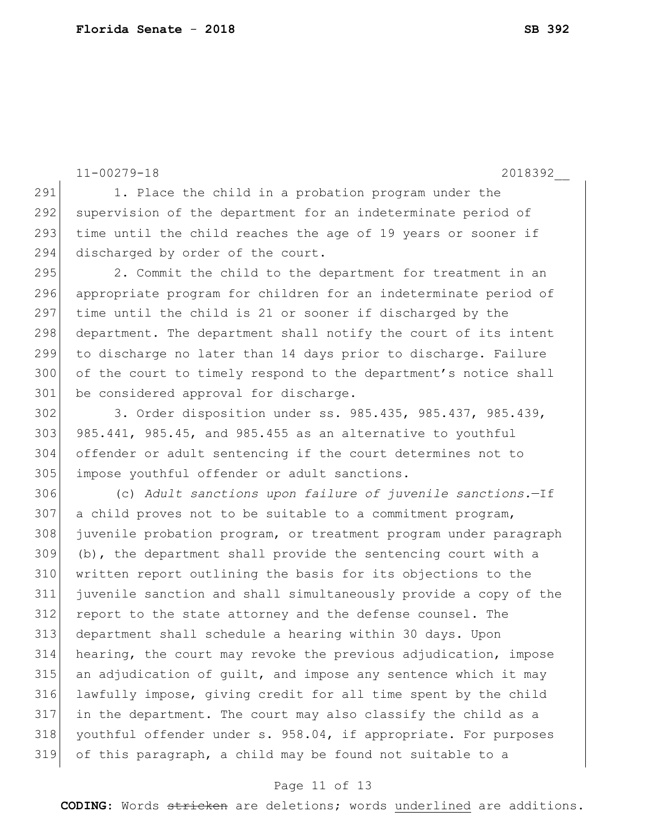11-00279-18 2018392\_\_ 291 1. Place the child in a probation program under the

292 supervision of the department for an indeterminate period of 293 time until the child reaches the age of 19 years or sooner if 294 discharged by order of the court.

295 2. Commit the child to the department for treatment in an 296 appropriate program for children for an indeterminate period of 297 time until the child is 21 or sooner if discharged by the 298 department. The department shall notify the court of its intent 299 to discharge no later than 14 days prior to discharge. Failure 300 of the court to timely respond to the department's notice shall 301 be considered approval for discharge.

302 3. Order disposition under ss. 985.435, 985.437, 985.439,  $303$  985.441, 985.45, and 985.455 as an alternative to youthful 304 offender or adult sentencing if the court determines not to 305 impose youthful offender or adult sanctions.

 (c) *Adult sanctions upon failure of juvenile sanctions.*—If a child proves not to be suitable to a commitment program, juvenile probation program, or treatment program under paragraph (b), the department shall provide the sentencing court with a written report outlining the basis for its objections to the juvenile sanction and shall simultaneously provide a copy of the report to the state attorney and the defense counsel. The department shall schedule a hearing within 30 days. Upon hearing, the court may revoke the previous adjudication, impose an adjudication of guilt, and impose any sentence which it may lawfully impose, giving credit for all time spent by the child in the department. The court may also classify the child as a youthful offender under s. 958.04, if appropriate. For purposes of this paragraph, a child may be found not suitable to a

#### Page 11 of 13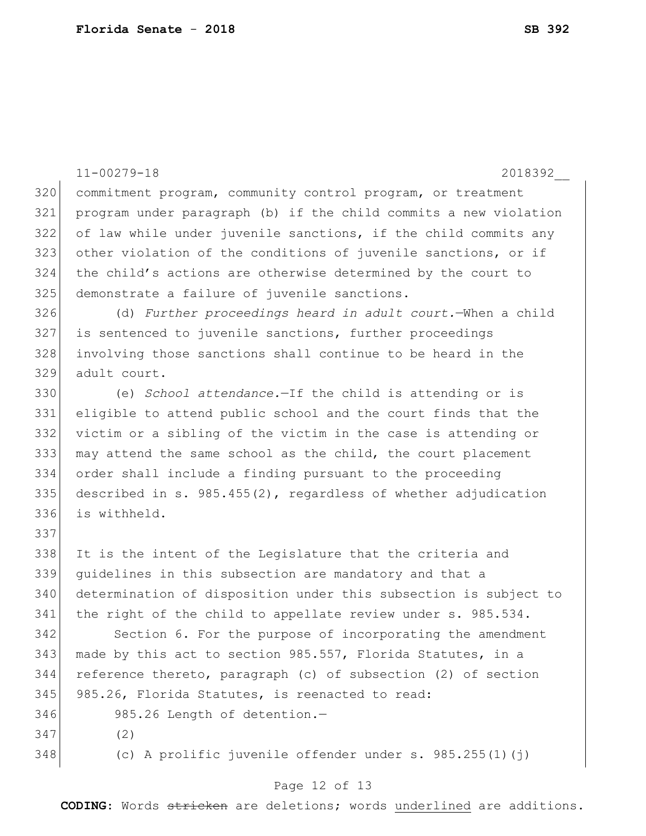|     | $11 - 00279 - 18$<br>2018392                                      |
|-----|-------------------------------------------------------------------|
| 320 | commitment program, community control program, or treatment       |
| 321 | program under paragraph (b) if the child commits a new violation  |
| 322 | of law while under juvenile sanctions, if the child commits any   |
| 323 | other violation of the conditions of juvenile sanctions, or if    |
| 324 | the child's actions are otherwise determined by the court to      |
| 325 | demonstrate a failure of juvenile sanctions.                      |
| 326 | (d) Further proceedings heard in adult court. - When a child      |
| 327 | is sentenced to juvenile sanctions, further proceedings           |
| 328 | involving those sanctions shall continue to be heard in the       |
| 329 | adult court.                                                      |
| 330 | (e) School attendance. If the child is attending or is            |
| 331 | eligible to attend public school and the court finds that the     |
| 332 | victim or a sibling of the victim in the case is attending or     |
| 333 | may attend the same school as the child, the court placement      |
| 334 | order shall include a finding pursuant to the proceeding          |
| 335 | described in s. $985.455(2)$ , regardless of whether adjudication |
| 336 | is withheld.                                                      |
| 337 |                                                                   |
| 338 | It is the intent of the Legislature that the criteria and         |
| 339 | quidelines in this subsection are mandatory and that a            |
| 340 | determination of disposition under this subsection is subject to  |
| 341 | the right of the child to appellate review under s. 985.534.      |
| 342 | Section 6. For the purpose of incorporating the amendment         |
| 343 | made by this act to section 985.557, Florida Statutes, in a       |
| 344 | reference thereto, paragraph (c) of subsection (2) of section     |
| 345 | 985.26, Florida Statutes, is reenacted to read:                   |
| 346 | 985.26 Length of detention.-                                      |
| 347 | (2)                                                               |
| 348 | (c) A prolific juvenile offender under s. $985.255(1)(j)$         |
|     |                                                                   |

# Page 12 of 13